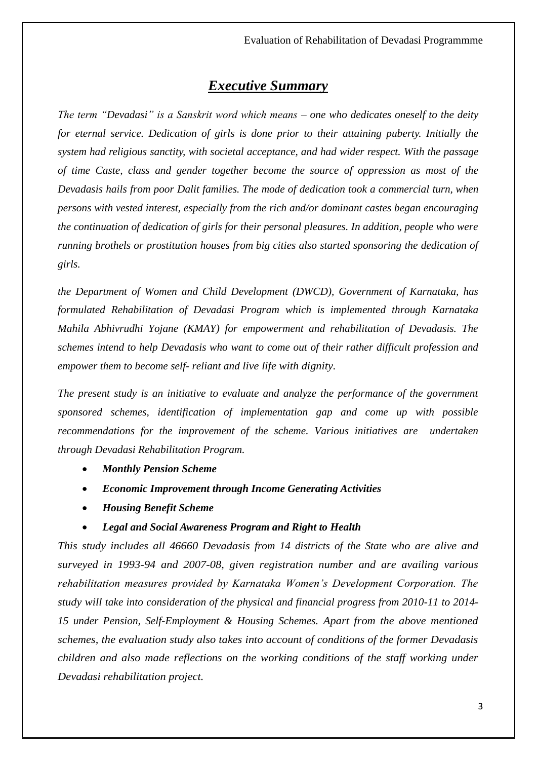# *Executive Summary*

*The term "Devadasi" is a Sanskrit word which means – one who dedicates oneself to the deity for eternal service. Dedication of girls is done prior to their attaining puberty. Initially the system had religious sanctity, with societal acceptance, and had wider respect. With the passage of time Caste, class and gender together become the source of oppression as most of the Devadasis hails from poor Dalit families. The mode of dedication took a commercial turn, when persons with vested interest, especially from the rich and/or dominant castes began encouraging the continuation of dedication of girls for their personal pleasures. In addition, people who were running brothels or prostitution houses from big cities also started sponsoring the dedication of girls.*

*the Department of Women and Child Development (DWCD), Government of Karnataka, has formulated Rehabilitation of Devadasi Program which is implemented through Karnataka Mahila Abhivrudhi Yojane (KMAY) for empowerment and rehabilitation of Devadasis. The schemes intend to help Devadasis who want to come out of their rather difficult profession and empower them to become self- reliant and live life with dignity.*

*The present study is an initiative to evaluate and analyze the performance of the government sponsored schemes, identification of implementation gap and come up with possible recommendations for the improvement of the scheme. Various initiatives are undertaken through Devadasi Rehabilitation Program.*

- *Monthly Pension Scheme*
- *Economic Improvement through Income Generating Activities*
- *Housing Benefit Scheme*

#### • *Legal and Social Awareness Program and Right to Health*

*This study includes all 46660 Devadasis from 14 districts of the State who are alive and surveyed in 1993-94 and 2007-08, given registration number and are availing various rehabilitation measures provided by Karnataka Women's Development Corporation. The study will take into consideration of the physical and financial progress from 2010-11 to 2014- 15 under Pension, Self-Employment & Housing Schemes. Apart from the above mentioned schemes, the evaluation study also takes into account of conditions of the former Devadasis children and also made reflections on the working conditions of the staff working under Devadasi rehabilitation project.*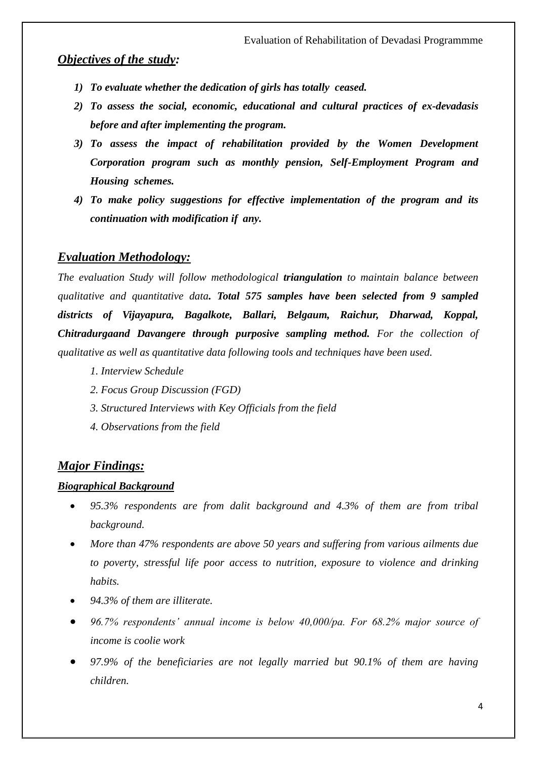## *Objectives of the study:*

- *1) To evaluate whether the dedication of girls has totally ceased.*
- *2) To assess the social, economic, educational and cultural practices of ex-devadasis before and after implementing the program.*
- *3) To assess the impact of rehabilitation provided by the Women Development Corporation program such as monthly pension, Self-Employment Program and Housing schemes.*
- *4) To make policy suggestions for effective implementation of the program and its continuation with modification if any.*

## *Evaluation Methodology:*

*The evaluation Study will follow methodological triangulation to maintain balance between qualitative and quantitative data. Total 575 samples have been selected from 9 sampled districts of Vijayapura, Bagalkote, Ballari, Belgaum, Raichur, Dharwad, Koppal, Chitradurgaand Davangere through purposive sampling method. For the collection of qualitative as well as quantitative data following tools and techniques have been used.*

- *1. Interview Schedule*
- *2. Focus Group Discussion (FGD)*
- *3. Structured Interviews with Key Officials from the field*
- *4. Observations from the field*

## *Major Findings:*

#### *Biographical Background*

- *95.3% respondents are from dalit background and 4.3% of them are from tribal background.*
- *More than 47% respondents are above 50 years and suffering from various ailments due to poverty, stressful life poor access to nutrition, exposure to violence and drinking habits.*
- *94.3% of them are illiterate.*
- *96.7% respondents' annual income is below 40,000/pa. For 68.2% major source of income is coolie work*
- *97.9% of the beneficiaries are not legally married but 90.1% of them are having children.*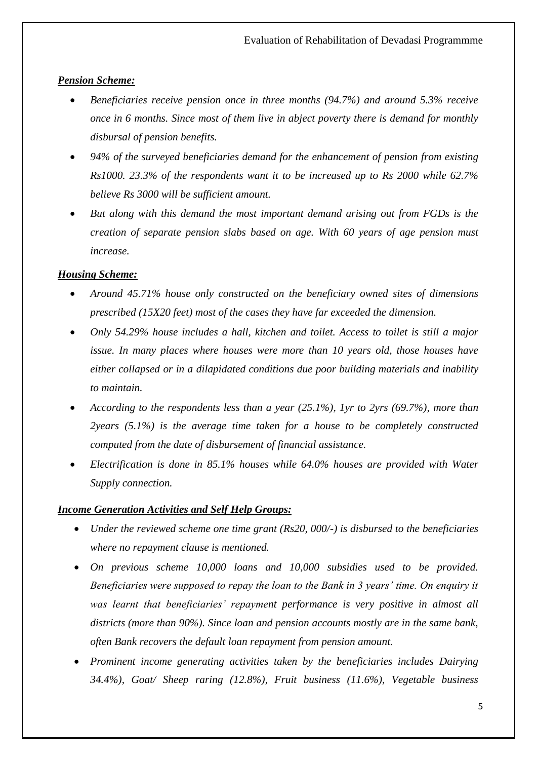## *Pension Scheme:*

- *Beneficiaries receive pension once in three months (94.7%) and around 5.3% receive once in 6 months. Since most of them live in abject poverty there is demand for monthly disbursal of pension benefits.*
- *94% of the surveyed beneficiaries demand for the enhancement of pension from existing Rs1000. 23.3% of the respondents want it to be increased up to Rs 2000 while 62.7% believe Rs 3000 will be sufficient amount.*
- *But along with this demand the most important demand arising out from FGDs is the creation of separate pension slabs based on age. With 60 years of age pension must increase.*

## *Housing Scheme:*

- *Around 45.71% house only constructed on the beneficiary owned sites of dimensions prescribed (15X20 feet) most of the cases they have far exceeded the dimension.*
- *Only 54.29% house includes a hall, kitchen and toilet. Access to toilet is still a major issue. In many places where houses were more than 10 years old, those houses have either collapsed or in a dilapidated conditions due poor building materials and inability to maintain.*
- *According to the respondents less than a year (25.1%), 1yr to 2yrs (69.7%), more than 2years (5.1%) is the average time taken for a house to be completely constructed computed from the date of disbursement of financial assistance.*
- *Electrification is done in 85.1% houses while 64.0% houses are provided with Water Supply connection.*

#### *Income Generation Activities and Self Help Groups:*

- *Under the reviewed scheme one time grant (Rs20, 000/-) is disbursed to the beneficiaries where no repayment clause is mentioned.*
- *On previous scheme 10,000 loans and 10,000 subsidies used to be provided. Beneficiaries were supposed to repay the loan to the Bank in 3 years' time. On enquiry it was learnt that beneficiaries' repayment performance is very positive in almost all districts (more than 90%). Since loan and pension accounts mostly are in the same bank, often Bank recovers the default loan repayment from pension amount.*
- *Prominent income generating activities taken by the beneficiaries includes Dairying 34.4%), Goat/ Sheep raring (12.8%), Fruit business (11.6%), Vegetable business*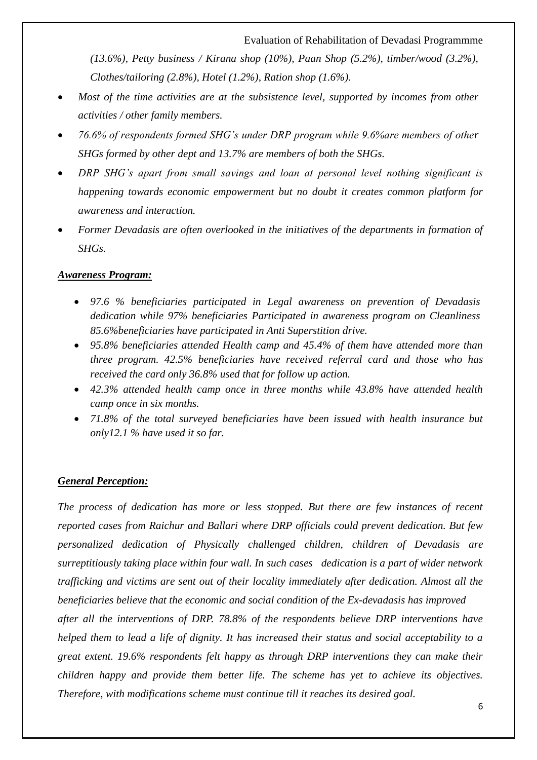#### Evaluation of Rehabilitation of Devadasi Programmme

*(13.6%), Petty business / Kirana shop (10%), Paan Shop (5.2%), timber/wood (3.2%), Clothes/tailoring (2.8%), Hotel (1.2%), Ration shop (1.6%).*

- *Most of the time activities are at the subsistence level, supported by incomes from other activities / other family members.*
- *76.6% of respondents formed SHG's under DRP program while 9.6%are members of other SHGs formed by other dept and 13.7% are members of both the SHGs.*
- *DRP SHG's apart from small savings and loan at personal level nothing significant is happening towards economic empowerment but no doubt it creates common platform for awareness and interaction.*
- *Former Devadasis are often overlooked in the initiatives of the departments in formation of SHGs.*

#### *Awareness Program:*

- *97.6 % beneficiaries participated in Legal awareness on prevention of Devadasis dedication while 97% beneficiaries Participated in awareness program on Cleanliness 85.6%beneficiaries have participated in Anti Superstition drive.*
- *95.8% beneficiaries attended Health camp and 45.4% of them have attended more than three program. 42.5% beneficiaries have received referral card and those who has received the card only 36.8% used that for follow up action.*
- *42.3% attended health camp once in three months while 43.8% have attended health camp once in six months.*
- *71.8% of the total surveyed beneficiaries have been issued with health insurance but only12.1 % have used it so far.*

#### *General Perception:*

*The process of dedication has more or less stopped. But there are few instances of recent reported cases from Raichur and Ballari where DRP officials could prevent dedication. But few personalized dedication of Physically challenged children, children of Devadasis are surreptitiously taking place within four wall. In such cases dedication is a part of wider network trafficking and victims are sent out of their locality immediately after dedication. Almost all the beneficiaries believe that the economic and social condition of the Ex-devadasis has improved* 

*after all the interventions of DRP. 78.8% of the respondents believe DRP interventions have helped them to lead a life of dignity. It has increased their status and social acceptability to a great extent. 19.6% respondents felt happy as through DRP interventions they can make their children happy and provide them better life. The scheme has yet to achieve its objectives. Therefore, with modifications scheme must continue till it reaches its desired goal.*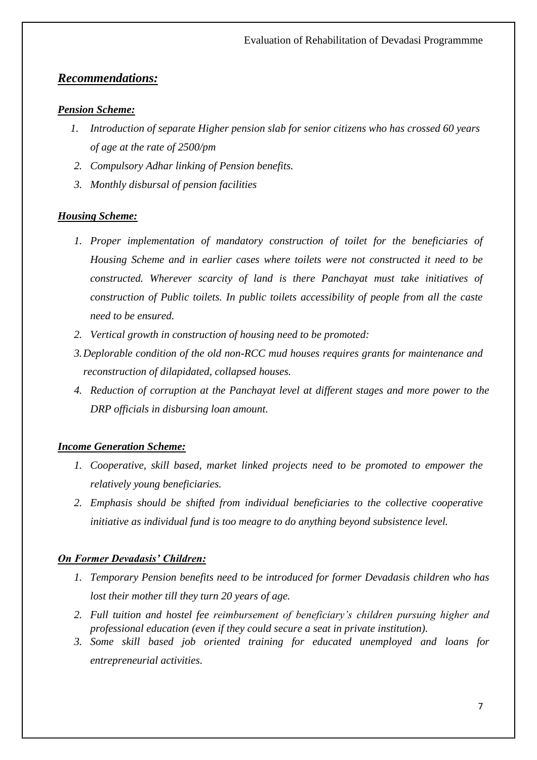## *Recommendations:*

#### *Pension Scheme:*

- *1. Introduction of separate Higher pension slab for senior citizens who has crossed 60 years of age at the rate of 2500/pm*
- *2. Compulsory Adhar linking of Pension benefits.*
- *3. Monthly disbursal of pension facilities*

#### *Housing Scheme:*

- *1. Proper implementation of mandatory construction of toilet for the beneficiaries of Housing Scheme and in earlier cases where toilets were not constructed it need to be constructed. Wherever scarcity of land is there Panchayat must take initiatives of construction of Public toilets. In public toilets accessibility of people from all the caste need to be ensured.*
- *2. Vertical growth in construction of housing need to be promoted:*
- *3.Deplorable condition of the old non-RCC mud houses requires grants for maintenance and reconstruction of dilapidated, collapsed houses.*
- *4. Reduction of corruption at the Panchayat level at different stages and more power to the DRP officials in disbursing loan amount.*

#### *Income Generation Scheme:*

- *1. Cooperative, skill based, market linked projects need to be promoted to empower the relatively young beneficiaries.*
- *2. Emphasis should be shifted from individual beneficiaries to the collective cooperative initiative as individual fund is too meagre to do anything beyond subsistence level.*

#### *On Former Devadasis' Children:*

- *1. Temporary Pension benefits need to be introduced for former Devadasis children who has lost their mother till they turn 20 years of age.*
- *2. Full tuition and hostel fee reimbursement of beneficiary's children pursuing higher and professional education (even if they could secure a seat in private institution).*
- *3. Some skill based job oriented training for educated unemployed and loans for entrepreneurial activities.*